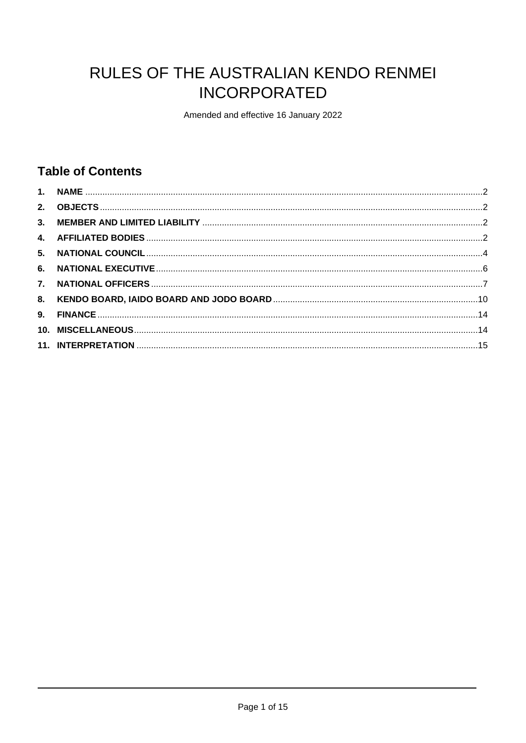# RULES OF THE AUSTRALIAN KENDO RENMEI **INCORPORATED**

Amended and effective 16 January 2022

# **Table of Contents**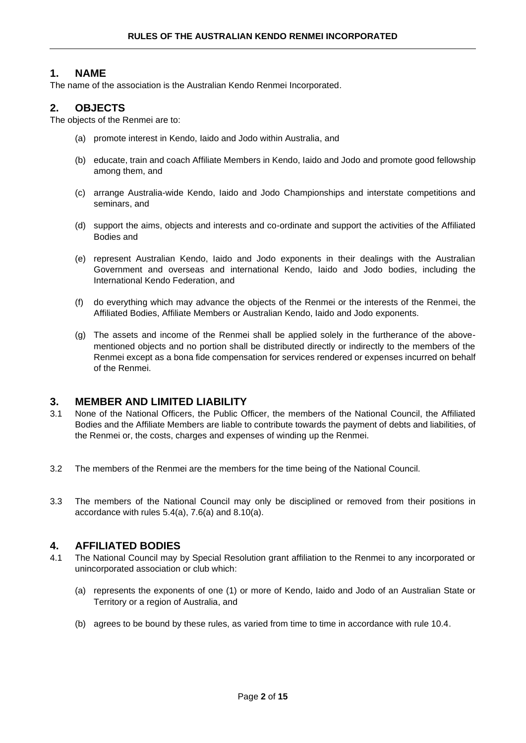# <span id="page-1-0"></span>**1. NAME**

The name of the association is the Australian Kendo Renmei Incorporated.

# <span id="page-1-1"></span>**2. OBJECTS**

The objects of the Renmei are to:

- (a) promote interest in Kendo, Iaido and Jodo within Australia, and
- (b) educate, train and coach Affiliate Members in Kendo, Iaido and Jodo and promote good fellowship among them, and
- (c) arrange Australia-wide Kendo, Iaido and Jodo Championships and interstate competitions and seminars, and
- (d) support the aims, objects and interests and co-ordinate and support the activities of the Affiliated Bodies and
- (e) represent Australian Kendo, Iaido and Jodo exponents in their dealings with the Australian Government and overseas and international Kendo, Iaido and Jodo bodies, including the International Kendo Federation, and
- (f) do everything which may advance the objects of the Renmei or the interests of the Renmei, the Affiliated Bodies, Affiliate Members or Australian Kendo, Iaido and Jodo exponents.
- (g) The assets and income of the Renmei shall be applied solely in the furtherance of the abovementioned objects and no portion shall be distributed directly or indirectly to the members of the Renmei except as a bona fide compensation for services rendered or expenses incurred on behalf of the Renmei.

#### <span id="page-1-2"></span>**3. MEMBER AND LIMITED LIABILITY**

- 3.1 None of the National Officers, the Public Officer, the members of the National Council, the Affiliated Bodies and the Affiliate Members are liable to contribute towards the payment of debts and liabilities, of the Renmei or, the costs, charges and expenses of winding up the Renmei.
- 3.2 The members of the Renmei are the members for the time being of the National Council.
- 3.3 The members of the National Council may only be disciplined or removed from their positions in accordance with rules 5.4(a), 7.6(a) and 8.10(a).

# <span id="page-1-3"></span>**4. AFFILIATED BODIES**

- 4.1 The National Council may by Special Resolution grant affiliation to the Renmei to any incorporated or unincorporated association or club which:
	- (a) represents the exponents of one (1) or more of Kendo, Iaido and Jodo of an Australian State or Territory or a region of Australia, and
	- (b) agrees to be bound by these rules, as varied from time to time in accordance with rule 10.4.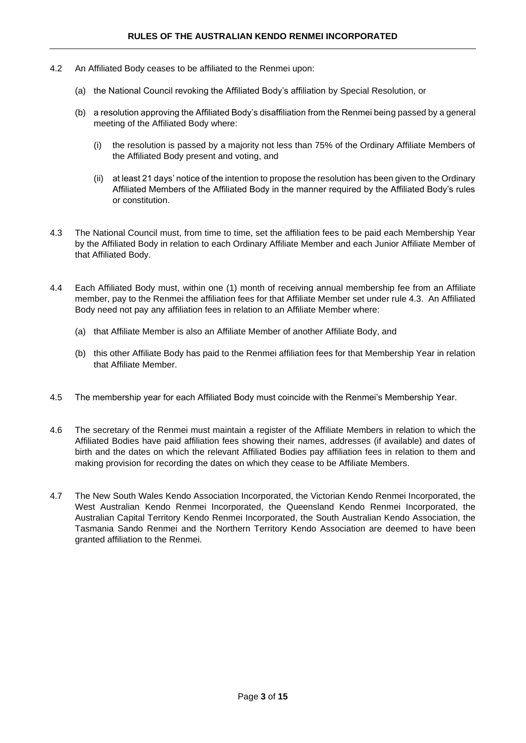- 4.2 An Affiliated Body ceases to be affiliated to the Renmei upon:
	- (a) the National Council revoking the Affiliated Body's affiliation by Special Resolution, or
	- (b) a resolution approving the Affiliated Body's disaffiliation from the Renmei being passed by a general meeting of the Affiliated Body where:
		- (i) the resolution is passed by a majority not less than 75% of the Ordinary Affiliate Members of the Affiliated Body present and voting, and
		- (ii) at least 21 days' notice of the intention to propose the resolution has been given to the Ordinary Affiliated Members of the Affiliated Body in the manner required by the Affiliated Body's rules or constitution.
- 4.3 The National Council must, from time to time, set the affiliation fees to be paid each Membership Year by the Affiliated Body in relation to each Ordinary Affiliate Member and each Junior Affiliate Member of that Affiliated Body.
- 4.4 Each Affiliated Body must, within one (1) month of receiving annual membership fee from an Affiliate member, pay to the Renmei the affiliation fees for that Affiliate Member set under rule 4.3. An Affiliated Body need not pay any affiliation fees in relation to an Affiliate Member where:
	- (a) that Affiliate Member is also an Affiliate Member of another Affiliate Body, and
	- (b) this other Affiliate Body has paid to the Renmei affiliation fees for that Membership Year in relation that Affiliate Member.
- 4.5 The membership year for each Affiliated Body must coincide with the Renmei's Membership Year.
- 4.6 The secretary of the Renmei must maintain a register of the Affiliate Members in relation to which the Affiliated Bodies have paid affiliation fees showing their names, addresses (if available) and dates of birth and the dates on which the relevant Affiliated Bodies pay affiliation fees in relation to them and making provision for recording the dates on which they cease to be Affiliate Members.
- 4.7 The New South Wales Kendo Association Incorporated, the Victorian Kendo Renmei Incorporated, the West Australian Kendo Renmei Incorporated, the Queensland Kendo Renmei Incorporated, the Australian Capital Territory Kendo Renmei Incorporated, the South Australian Kendo Association, the Tasmania Sando Renmei and the Northern Territory Kendo Association are deemed to have been granted affiliation to the Renmei.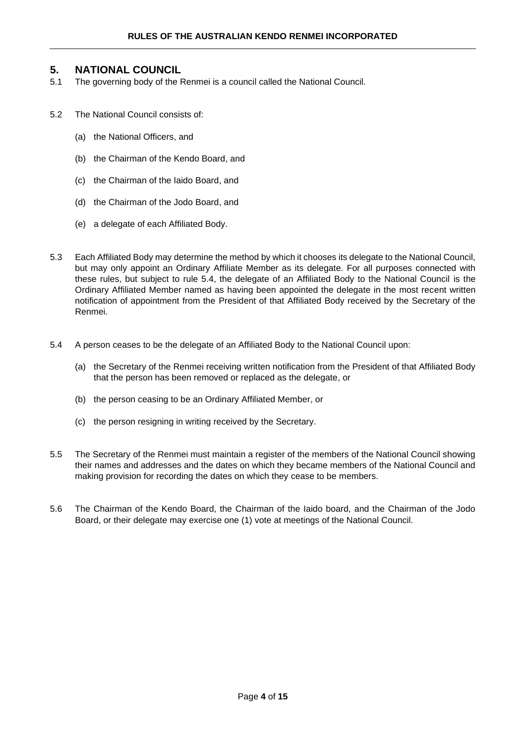# <span id="page-3-0"></span>**5. NATIONAL COUNCIL**

- 5.1 The governing body of the Renmei is a council called the National Council.
- 5.2 The National Council consists of:
	- (a) the National Officers, and
	- (b) the Chairman of the Kendo Board, and
	- (c) the Chairman of the Iaido Board, and
	- (d) the Chairman of the Jodo Board, and
	- (e) a delegate of each Affiliated Body.
- 5.3 Each Affiliated Body may determine the method by which it chooses its delegate to the National Council, but may only appoint an Ordinary Affiliate Member as its delegate. For all purposes connected with these rules, but subject to rule 5.4, the delegate of an Affiliated Body to the National Council is the Ordinary Affiliated Member named as having been appointed the delegate in the most recent written notification of appointment from the President of that Affiliated Body received by the Secretary of the Renmei.
- 5.4 A person ceases to be the delegate of an Affiliated Body to the National Council upon:
	- (a) the Secretary of the Renmei receiving written notification from the President of that Affiliated Body that the person has been removed or replaced as the delegate, or
	- (b) the person ceasing to be an Ordinary Affiliated Member, or
	- (c) the person resigning in writing received by the Secretary.
- 5.5 The Secretary of the Renmei must maintain a register of the members of the National Council showing their names and addresses and the dates on which they became members of the National Council and making provision for recording the dates on which they cease to be members.
- 5.6 The Chairman of the Kendo Board, the Chairman of the Iaido board, and the Chairman of the Jodo Board, or their delegate may exercise one (1) vote at meetings of the National Council.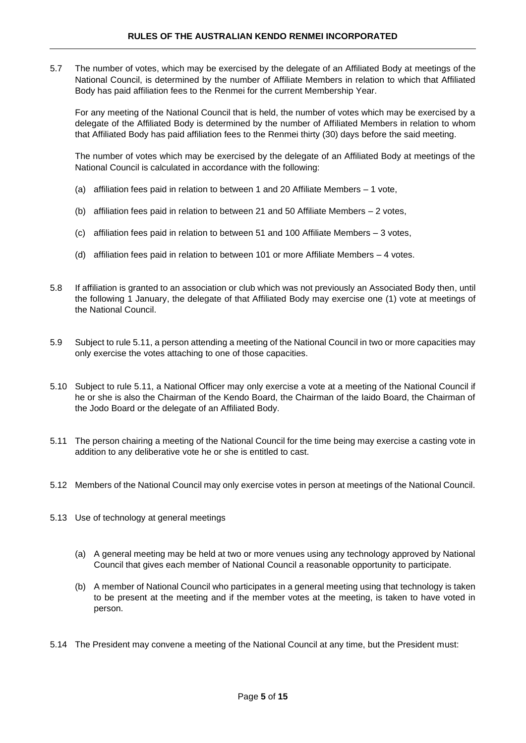5.7 The number of votes, which may be exercised by the delegate of an Affiliated Body at meetings of the National Council, is determined by the number of Affiliate Members in relation to which that Affiliated Body has paid affiliation fees to the Renmei for the current Membership Year.

For any meeting of the National Council that is held, the number of votes which may be exercised by a delegate of the Affiliated Body is determined by the number of Affiliated Members in relation to whom that Affiliated Body has paid affiliation fees to the Renmei thirty (30) days before the said meeting.

The number of votes which may be exercised by the delegate of an Affiliated Body at meetings of the National Council is calculated in accordance with the following:

- (a) affiliation fees paid in relation to between 1 and 20 Affiliate Members 1 vote,
- (b) affiliation fees paid in relation to between 21 and 50 Affiliate Members 2 votes,
- (c) affiliation fees paid in relation to between 51 and 100 Affiliate Members 3 votes,
- (d) affiliation fees paid in relation to between 101 or more Affiliate Members 4 votes.
- 5.8 If affiliation is granted to an association or club which was not previously an Associated Body then, until the following 1 January, the delegate of that Affiliated Body may exercise one (1) vote at meetings of the National Council.
- 5.9 Subject to rule 5.11, a person attending a meeting of the National Council in two or more capacities may only exercise the votes attaching to one of those capacities.
- 5.10 Subject to rule 5.11, a National Officer may only exercise a vote at a meeting of the National Council if he or she is also the Chairman of the Kendo Board, the Chairman of the Iaido Board, the Chairman of the Jodo Board or the delegate of an Affiliated Body.
- 5.11 The person chairing a meeting of the National Council for the time being may exercise a casting vote in addition to any deliberative vote he or she is entitled to cast.
- 5.12 Members of the National Council may only exercise votes in person at meetings of the National Council.
- 5.13 Use of technology at general meetings
	- (a) A general meeting may be held at two or more venues using any technology approved by National Council that gives each member of National Council a reasonable opportunity to participate.
	- (b) A member of National Council who participates in a general meeting using that technology is taken to be present at the meeting and if the member votes at the meeting, is taken to have voted in person.
- 5.14 The President may convene a meeting of the National Council at any time, but the President must: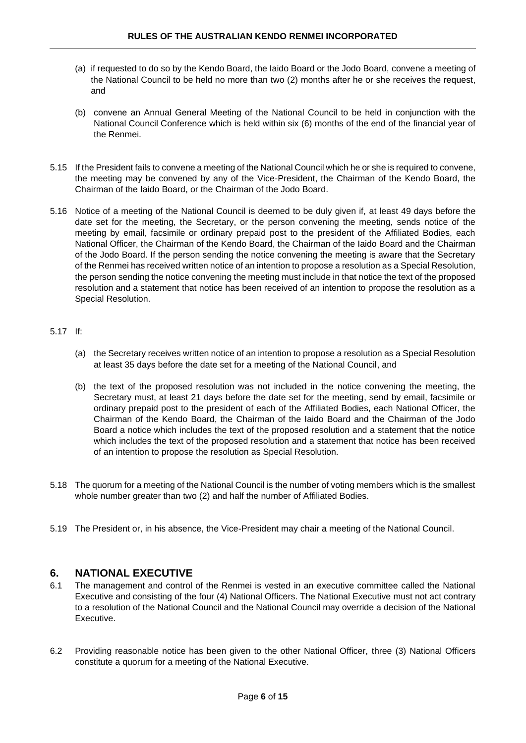- (a) if requested to do so by the Kendo Board, the Iaido Board or the Jodo Board, convene a meeting of the National Council to be held no more than two (2) months after he or she receives the request, and
- (b) convene an Annual General Meeting of the National Council to be held in conjunction with the National Council Conference which is held within six (6) months of the end of the financial year of the Renmei.
- 5.15 If the President fails to convene a meeting of the National Council which he or she is required to convene, the meeting may be convened by any of the Vice-President, the Chairman of the Kendo Board, the Chairman of the Iaido Board, or the Chairman of the Jodo Board.
- 5.16 Notice of a meeting of the National Council is deemed to be duly given if, at least 49 days before the date set for the meeting, the Secretary, or the person convening the meeting, sends notice of the meeting by email, facsimile or ordinary prepaid post to the president of the Affiliated Bodies, each National Officer, the Chairman of the Kendo Board, the Chairman of the Iaido Board and the Chairman of the Jodo Board. If the person sending the notice convening the meeting is aware that the Secretary of the Renmei has received written notice of an intention to propose a resolution as a Special Resolution, the person sending the notice convening the meeting must include in that notice the text of the proposed resolution and a statement that notice has been received of an intention to propose the resolution as a Special Resolution.

#### 5.17 If:

- (a) the Secretary receives written notice of an intention to propose a resolution as a Special Resolution at least 35 days before the date set for a meeting of the National Council, and
- (b) the text of the proposed resolution was not included in the notice convening the meeting, the Secretary must, at least 21 days before the date set for the meeting, send by email, facsimile or ordinary prepaid post to the president of each of the Affiliated Bodies, each National Officer, the Chairman of the Kendo Board, the Chairman of the Iaido Board and the Chairman of the Jodo Board a notice which includes the text of the proposed resolution and a statement that the notice which includes the text of the proposed resolution and a statement that notice has been received of an intention to propose the resolution as Special Resolution.
- 5.18 The quorum for a meeting of the National Council is the number of voting members which is the smallest whole number greater than two (2) and half the number of Affiliated Bodies.
- 5.19 The President or, in his absence, the Vice-President may chair a meeting of the National Council.

# <span id="page-5-0"></span>**6. NATIONAL EXECUTIVE**

- 6.1 The management and control of the Renmei is vested in an executive committee called the National Executive and consisting of the four (4) National Officers. The National Executive must not act contrary to a resolution of the National Council and the National Council may override a decision of the National Executive.
- 6.2 Providing reasonable notice has been given to the other National Officer, three (3) National Officers constitute a quorum for a meeting of the National Executive.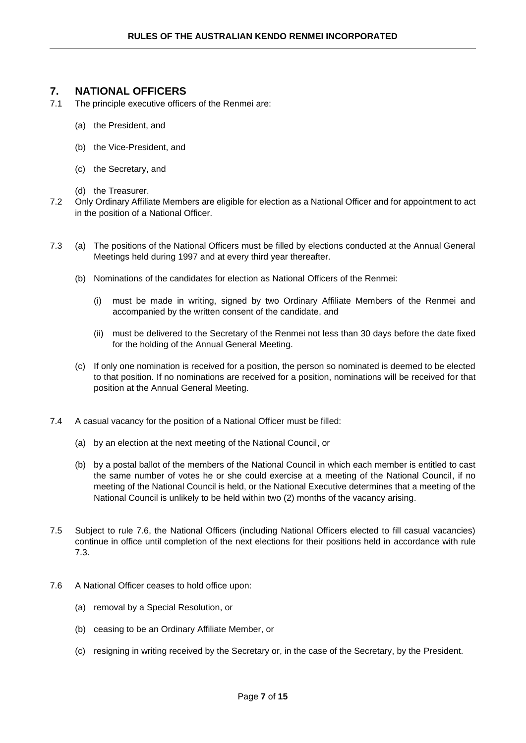# <span id="page-6-0"></span>**7. NATIONAL OFFICERS**

- 7.1 The principle executive officers of the Renmei are:
	- (a) the President, and
	- (b) the Vice-President, and
	- (c) the Secretary, and
	- (d) the Treasurer.
- 7.2 Only Ordinary Affiliate Members are eligible for election as a National Officer and for appointment to act in the position of a National Officer.
- 7.3 (a) The positions of the National Officers must be filled by elections conducted at the Annual General Meetings held during 1997 and at every third year thereafter.
	- (b) Nominations of the candidates for election as National Officers of the Renmei:
		- (i) must be made in writing, signed by two Ordinary Affiliate Members of the Renmei and accompanied by the written consent of the candidate, and
		- (ii) must be delivered to the Secretary of the Renmei not less than 30 days before the date fixed for the holding of the Annual General Meeting.
	- (c) If only one nomination is received for a position, the person so nominated is deemed to be elected to that position. If no nominations are received for a position, nominations will be received for that position at the Annual General Meeting.
- 7.4 A casual vacancy for the position of a National Officer must be filled:
	- (a) by an election at the next meeting of the National Council, or
	- (b) by a postal ballot of the members of the National Council in which each member is entitled to cast the same number of votes he or she could exercise at a meeting of the National Council, if no meeting of the National Council is held, or the National Executive determines that a meeting of the National Council is unlikely to be held within two (2) months of the vacancy arising.
- 7.5 Subject to rule 7.6, the National Officers (including National Officers elected to fill casual vacancies) continue in office until completion of the next elections for their positions held in accordance with rule 7.3.
- 7.6 A National Officer ceases to hold office upon:
	- (a) removal by a Special Resolution, or
	- (b) ceasing to be an Ordinary Affiliate Member, or
	- (c) resigning in writing received by the Secretary or, in the case of the Secretary, by the President.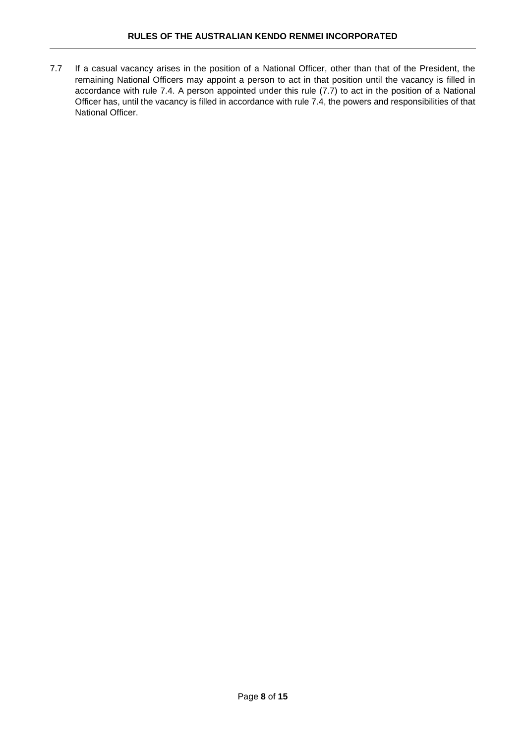7.7 If a casual vacancy arises in the position of a National Officer, other than that of the President, the remaining National Officers may appoint a person to act in that position until the vacancy is filled in accordance with rule 7.4. A person appointed under this rule (7.7) to act in the position of a National Officer has, until the vacancy is filled in accordance with rule 7.4, the powers and responsibilities of that National Officer.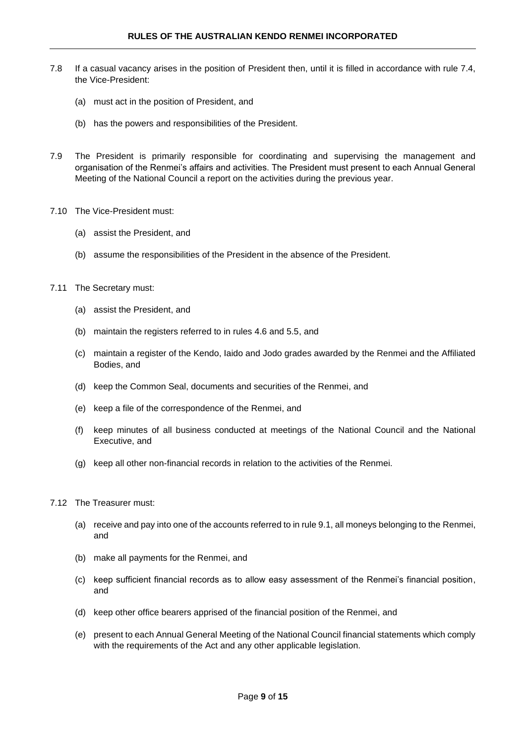- 7.8 If a casual vacancy arises in the position of President then, until it is filled in accordance with rule 7.4, the Vice-President:
	- (a) must act in the position of President, and
	- (b) has the powers and responsibilities of the President.
- 7.9 The President is primarily responsible for coordinating and supervising the management and organisation of the Renmei's affairs and activities. The President must present to each Annual General Meeting of the National Council a report on the activities during the previous year.
- 7.10 The Vice-President must:
	- (a) assist the President, and
	- (b) assume the responsibilities of the President in the absence of the President.
- 7.11 The Secretary must:
	- (a) assist the President, and
	- (b) maintain the registers referred to in rules 4.6 and 5.5, and
	- (c) maintain a register of the Kendo, Iaido and Jodo grades awarded by the Renmei and the Affiliated Bodies, and
	- (d) keep the Common Seal, documents and securities of the Renmei, and
	- (e) keep a file of the correspondence of the Renmei, and
	- (f) keep minutes of all business conducted at meetings of the National Council and the National Executive, and
	- (g) keep all other non-financial records in relation to the activities of the Renmei.
- 7.12 The Treasurer must:
	- (a) receive and pay into one of the accounts referred to in rule 9.1, all moneys belonging to the Renmei, and
	- (b) make all payments for the Renmei, and
	- (c) keep sufficient financial records as to allow easy assessment of the Renmei's financial position, and
	- (d) keep other office bearers apprised of the financial position of the Renmei, and
	- (e) present to each Annual General Meeting of the National Council financial statements which comply with the requirements of the Act and any other applicable legislation.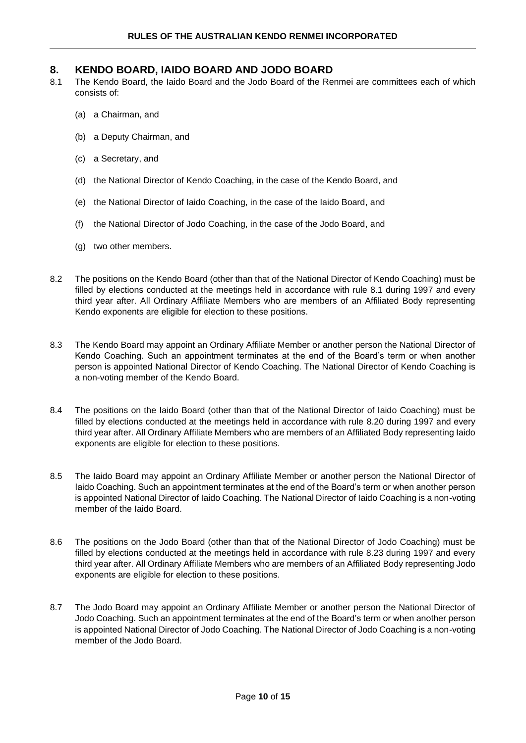# <span id="page-9-0"></span>**8. KENDO BOARD, IAIDO BOARD AND JODO BOARD**

- 8.1 The Kendo Board, the Iaido Board and the Jodo Board of the Renmei are committees each of which consists of:
	- (a) a Chairman, and
	- (b) a Deputy Chairman, and
	- (c) a Secretary, and
	- (d) the National Director of Kendo Coaching, in the case of the Kendo Board, and
	- (e) the National Director of Iaido Coaching, in the case of the Iaido Board, and
	- (f) the National Director of Jodo Coaching, in the case of the Jodo Board, and
	- (g) two other members.
- 8.2 The positions on the Kendo Board (other than that of the National Director of Kendo Coaching) must be filled by elections conducted at the meetings held in accordance with rule 8.1 during 1997 and every third year after. All Ordinary Affiliate Members who are members of an Affiliated Body representing Kendo exponents are eligible for election to these positions.
- 8.3 The Kendo Board may appoint an Ordinary Affiliate Member or another person the National Director of Kendo Coaching. Such an appointment terminates at the end of the Board's term or when another person is appointed National Director of Kendo Coaching. The National Director of Kendo Coaching is a non-voting member of the Kendo Board.
- 8.4 The positions on the Iaido Board (other than that of the National Director of Iaido Coaching) must be filled by elections conducted at the meetings held in accordance with rule 8.20 during 1997 and every third year after. All Ordinary Affiliate Members who are members of an Affiliated Body representing Iaido exponents are eligible for election to these positions.
- 8.5 The Iaido Board may appoint an Ordinary Affiliate Member or another person the National Director of Iaido Coaching. Such an appointment terminates at the end of the Board's term or when another person is appointed National Director of Iaido Coaching. The National Director of Iaido Coaching is a non-voting member of the Iaido Board.
- 8.6 The positions on the Jodo Board (other than that of the National Director of Jodo Coaching) must be filled by elections conducted at the meetings held in accordance with rule 8.23 during 1997 and every third year after. All Ordinary Affiliate Members who are members of an Affiliated Body representing Jodo exponents are eligible for election to these positions.
- 8.7 The Jodo Board may appoint an Ordinary Affiliate Member or another person the National Director of Jodo Coaching. Such an appointment terminates at the end of the Board's term or when another person is appointed National Director of Jodo Coaching. The National Director of Jodo Coaching is a non-voting member of the Jodo Board.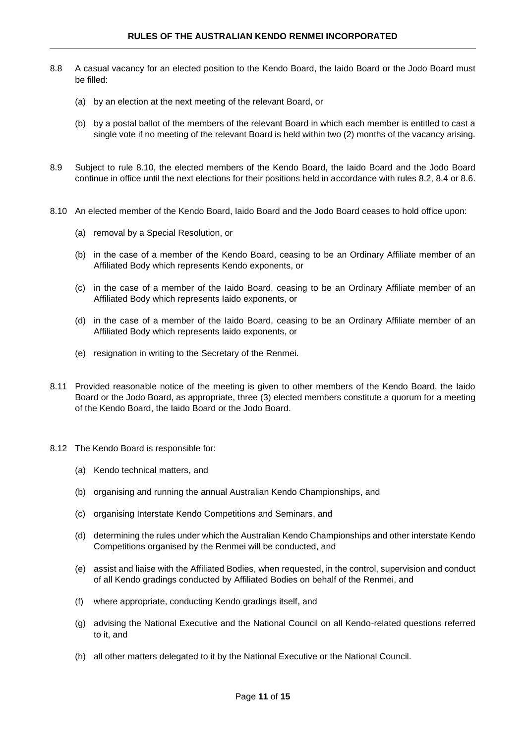- 8.8 A casual vacancy for an elected position to the Kendo Board, the Iaido Board or the Jodo Board must be filled:
	- (a) by an election at the next meeting of the relevant Board, or
	- (b) by a postal ballot of the members of the relevant Board in which each member is entitled to cast a single vote if no meeting of the relevant Board is held within two (2) months of the vacancy arising.
- 8.9 Subject to rule 8.10, the elected members of the Kendo Board, the Iaido Board and the Jodo Board continue in office until the next elections for their positions held in accordance with rules 8.2, 8.4 or 8.6.
- 8.10 An elected member of the Kendo Board, Iaido Board and the Jodo Board ceases to hold office upon:
	- (a) removal by a Special Resolution, or
	- (b) in the case of a member of the Kendo Board, ceasing to be an Ordinary Affiliate member of an Affiliated Body which represents Kendo exponents, or
	- (c) in the case of a member of the Iaido Board, ceasing to be an Ordinary Affiliate member of an Affiliated Body which represents Iaido exponents, or
	- (d) in the case of a member of the Iaido Board, ceasing to be an Ordinary Affiliate member of an Affiliated Body which represents Iaido exponents, or
	- (e) resignation in writing to the Secretary of the Renmei.
- 8.11 Provided reasonable notice of the meeting is given to other members of the Kendo Board, the Iaido Board or the Jodo Board, as appropriate, three (3) elected members constitute a quorum for a meeting of the Kendo Board, the Iaido Board or the Jodo Board.
- 8.12 The Kendo Board is responsible for:
	- (a) Kendo technical matters, and
	- (b) organising and running the annual Australian Kendo Championships, and
	- (c) organising Interstate Kendo Competitions and Seminars, and
	- (d) determining the rules under which the Australian Kendo Championships and other interstate Kendo Competitions organised by the Renmei will be conducted, and
	- (e) assist and liaise with the Affiliated Bodies, when requested, in the control, supervision and conduct of all Kendo gradings conducted by Affiliated Bodies on behalf of the Renmei, and
	- (f) where appropriate, conducting Kendo gradings itself, and
	- (g) advising the National Executive and the National Council on all Kendo-related questions referred to it, and
	- (h) all other matters delegated to it by the National Executive or the National Council.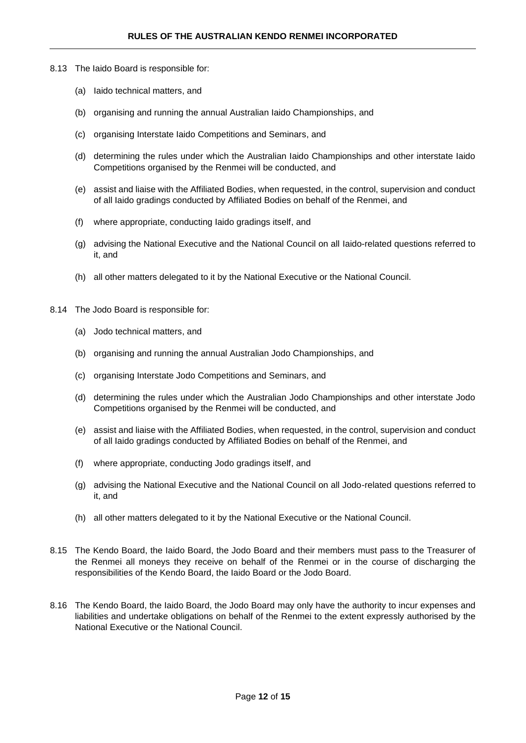- 8.13 The Iaido Board is responsible for:
	- (a) Iaido technical matters, and
	- (b) organising and running the annual Australian Iaido Championships, and
	- (c) organising Interstate Iaido Competitions and Seminars, and
	- (d) determining the rules under which the Australian Iaido Championships and other interstate Iaido Competitions organised by the Renmei will be conducted, and
	- (e) assist and liaise with the Affiliated Bodies, when requested, in the control, supervision and conduct of all Iaido gradings conducted by Affiliated Bodies on behalf of the Renmei, and
	- (f) where appropriate, conducting Iaido gradings itself, and
	- (g) advising the National Executive and the National Council on all Iaido-related questions referred to it, and
	- (h) all other matters delegated to it by the National Executive or the National Council.
- 8.14 The Jodo Board is responsible for:
	- (a) Jodo technical matters, and
	- (b) organising and running the annual Australian Jodo Championships, and
	- (c) organising Interstate Jodo Competitions and Seminars, and
	- (d) determining the rules under which the Australian Jodo Championships and other interstate Jodo Competitions organised by the Renmei will be conducted, and
	- (e) assist and liaise with the Affiliated Bodies, when requested, in the control, supervision and conduct of all Iaido gradings conducted by Affiliated Bodies on behalf of the Renmei, and
	- (f) where appropriate, conducting Jodo gradings itself, and
	- (g) advising the National Executive and the National Council on all Jodo-related questions referred to it, and
	- (h) all other matters delegated to it by the National Executive or the National Council.
- 8.15 The Kendo Board, the Iaido Board, the Jodo Board and their members must pass to the Treasurer of the Renmei all moneys they receive on behalf of the Renmei or in the course of discharging the responsibilities of the Kendo Board, the Iaido Board or the Jodo Board.
- 8.16 The Kendo Board, the Iaido Board, the Jodo Board may only have the authority to incur expenses and liabilities and undertake obligations on behalf of the Renmei to the extent expressly authorised by the National Executive or the National Council.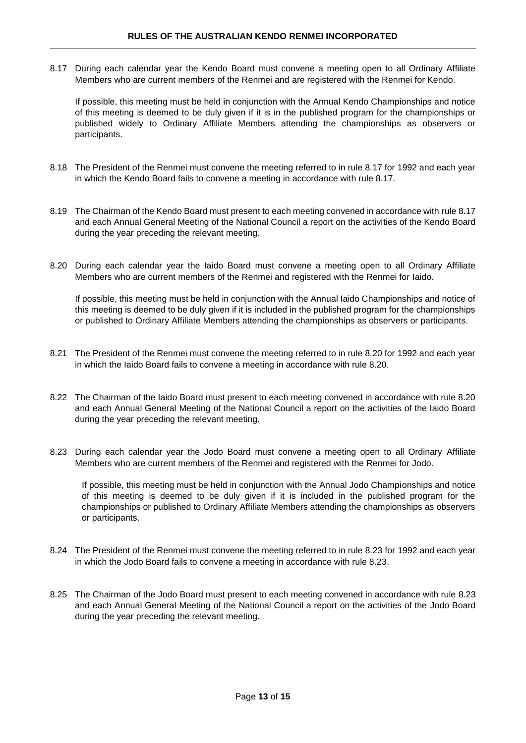8.17 During each calendar year the Kendo Board must convene a meeting open to all Ordinary Affiliate Members who are current members of the Renmei and are registered with the Renmei for Kendo.

If possible, this meeting must be held in conjunction with the Annual Kendo Championships and notice of this meeting is deemed to be duly given if it is in the published program for the championships or published widely to Ordinary Affiliate Members attending the championships as observers or participants.

- 8.18 The President of the Renmei must convene the meeting referred to in rule 8.17 for 1992 and each year in which the Kendo Board fails to convene a meeting in accordance with rule 8.17.
- 8.19 The Chairman of the Kendo Board must present to each meeting convened in accordance with rule 8.17 and each Annual General Meeting of the National Council a report on the activities of the Kendo Board during the year preceding the relevant meeting.
- 8.20 During each calendar year the Iaido Board must convene a meeting open to all Ordinary Affiliate Members who are current members of the Renmei and registered with the Renmei for Iaido.

If possible, this meeting must be held in conjunction with the Annual Iaido Championships and notice of this meeting is deemed to be duly given if it is included in the published program for the championships or published to Ordinary Affiliate Members attending the championships as observers or participants.

- 8.21 The President of the Renmei must convene the meeting referred to in rule 8.20 for 1992 and each year in which the Iaido Board fails to convene a meeting in accordance with rule 8.20.
- 8.22 The Chairman of the Iaido Board must present to each meeting convened in accordance with rule 8.20 and each Annual General Meeting of the National Council a report on the activities of the Iaido Board during the year preceding the relevant meeting.
- 8.23 During each calendar year the Jodo Board must convene a meeting open to all Ordinary Affiliate Members who are current members of the Renmei and registered with the Renmei for Jodo.

If possible, this meeting must be held in conjunction with the Annual Jodo Championships and notice of this meeting is deemed to be duly given if it is included in the published program for the championships or published to Ordinary Affiliate Members attending the championships as observers or participants.

- 8.24 The President of the Renmei must convene the meeting referred to in rule 8.23 for 1992 and each year in which the Jodo Board fails to convene a meeting in accordance with rule 8.23.
- 8.25 The Chairman of the Jodo Board must present to each meeting convened in accordance with rule 8.23 and each Annual General Meeting of the National Council a report on the activities of the Jodo Board during the year preceding the relevant meeting.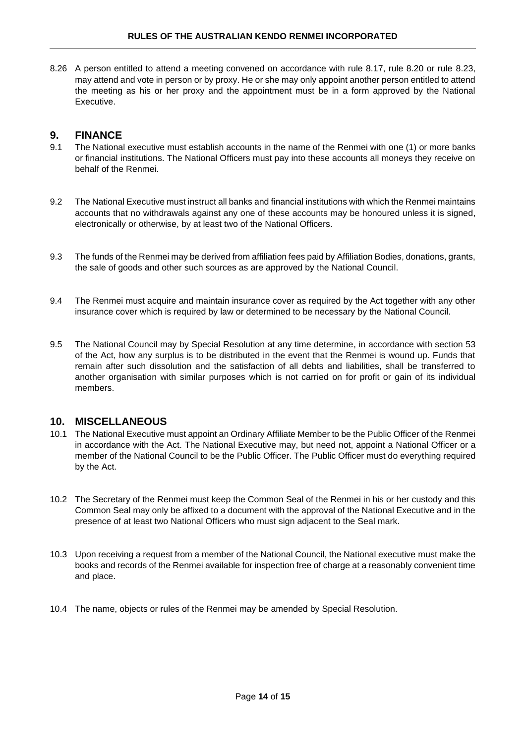8.26 A person entitled to attend a meeting convened on accordance with rule 8.17, rule 8.20 or rule 8.23, may attend and vote in person or by proxy. He or she may only appoint another person entitled to attend the meeting as his or her proxy and the appointment must be in a form approved by the National Executive.

# <span id="page-13-0"></span>**9. FINANCE**

- 9.1 The National executive must establish accounts in the name of the Renmei with one (1) or more banks or financial institutions. The National Officers must pay into these accounts all moneys they receive on behalf of the Renmei.
- 9.2 The National Executive must instruct all banks and financial institutions with which the Renmei maintains accounts that no withdrawals against any one of these accounts may be honoured unless it is signed, electronically or otherwise, by at least two of the National Officers.
- 9.3 The funds of the Renmei may be derived from affiliation fees paid by Affiliation Bodies, donations, grants, the sale of goods and other such sources as are approved by the National Council.
- 9.4 The Renmei must acquire and maintain insurance cover as required by the Act together with any other insurance cover which is required by law or determined to be necessary by the National Council.
- 9.5 The National Council may by Special Resolution at any time determine, in accordance with section 53 of the Act, how any surplus is to be distributed in the event that the Renmei is wound up. Funds that remain after such dissolution and the satisfaction of all debts and liabilities, shall be transferred to another organisation with similar purposes which is not carried on for profit or gain of its individual members.

# <span id="page-13-1"></span>**10. MISCELLANEOUS**

- 10.1 The National Executive must appoint an Ordinary Affiliate Member to be the Public Officer of the Renmei in accordance with the Act. The National Executive may, but need not, appoint a National Officer or a member of the National Council to be the Public Officer. The Public Officer must do everything required by the Act.
- 10.2 The Secretary of the Renmei must keep the Common Seal of the Renmei in his or her custody and this Common Seal may only be affixed to a document with the approval of the National Executive and in the presence of at least two National Officers who must sign adjacent to the Seal mark.
- 10.3 Upon receiving a request from a member of the National Council, the National executive must make the books and records of the Renmei available for inspection free of charge at a reasonably convenient time and place.
- 10.4 The name, objects or rules of the Renmei may be amended by Special Resolution.